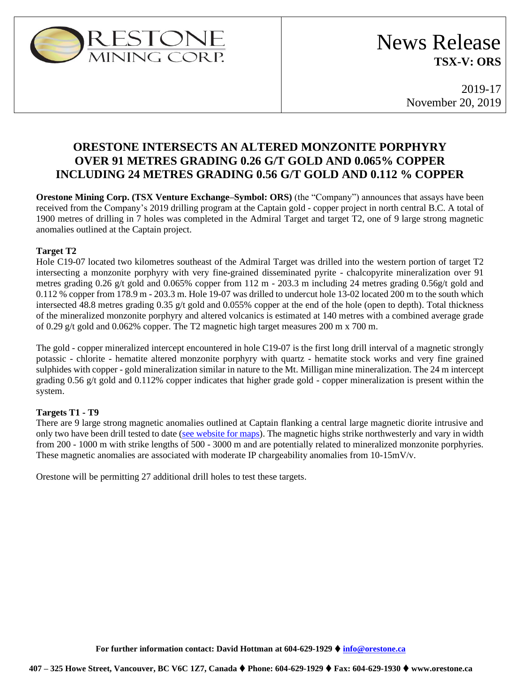

2019-17 November 20, 2019

# **ORESTONE INTERSECTS AN ALTERED MONZONITE PORPHYRY OVER 91 METRES GRADING 0.26 G/T GOLD AND 0.065% COPPER INCLUDING 24 METRES GRADING 0.56 G/T GOLD AND 0.112 % COPPER**

**Orestone Mining Corp. (TSX Venture Exchange–Symbol: ORS)** (the "Company") announces that assays have been received from the Company's 2019 drilling program at the Captain gold - copper project in north central B.C. A total of 1900 metres of drilling in 7 holes was completed in the Admiral Target and target T2, one of 9 large strong magnetic anomalies outlined at the Captain project.

## **Target T2**

Hole C19-07 located two kilometres southeast of the Admiral Target was drilled into the western portion of target T2 intersecting a monzonite porphyry with very fine-grained disseminated pyrite - chalcopyrite mineralization over 91 metres grading 0.26 g/t gold and 0.065% copper from 112 m - 203.3 m including 24 metres grading 0.56g/t gold and 0.112 % copper from 178.9 m - 203.3 m. Hole 19-07 was drilled to undercut hole 13-02 located 200 m to the south which intersected 48.8 metres grading 0.35 g/t gold and 0.055% copper at the end of the hole (open to depth). Total thickness of the mineralized monzonite porphyry and altered volcanics is estimated at 140 metres with a combined average grade of 0.29 g/t gold and 0.062% copper. The T2 magnetic high target measures 200 m x 700 m.

The gold - copper mineralized intercept encountered in hole C19-07 is the first long drill interval of a magnetic strongly potassic - chlorite - hematite altered monzonite porphyry with quartz - hematite stock works and very fine grained sulphides with copper - gold mineralization similar in nature to the Mt. Milligan mine mineralization. The 24 m intercept grading  $0.56$  g/t gold and  $0.112\%$  copper indicates that higher grade gold - copper mineralization is present within the system.

## **Targets T1 - T9**

There are 9 large strong magnetic anomalies outlined at Captain flanking a central large magnetic diorite intrusive and only two have been drill tested to date [\(see website for maps\)](https://www.orestone.ca/projects/captain-property/). The magnetic highs strike northwesterly and vary in width from 200 - 1000 m with strike lengths of 500 - 3000 m and are potentially related to mineralized monzonite porphyries. These magnetic anomalies are associated with moderate IP chargeability anomalies from 10-15mV/v.

Orestone will be permitting 27 additional drill holes to test these targets.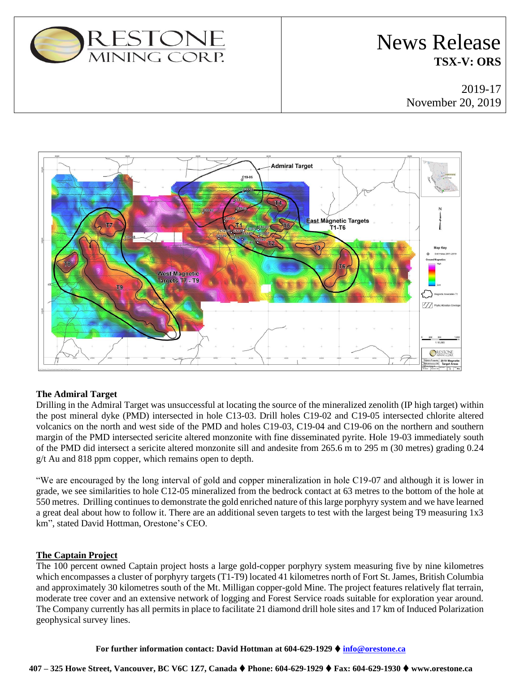

# News Release **TSX-V: ORS**

2019-17 November 20, 2019



## **The Admiral Target**

Drilling in the Admiral Target was unsuccessful at locating the source of the mineralized zenolith (IP high target) within the post mineral dyke (PMD) intersected in hole C13-03. Drill holes C19-02 and C19-05 intersected chlorite altered volcanics on the north and west side of the PMD and holes C19-03, C19-04 and C19-06 on the northern and southern margin of the PMD intersected sericite altered monzonite with fine disseminated pyrite. Hole 19-03 immediately south of the PMD did intersect a sericite altered monzonite sill and andesite from 265.6 m to 295 m (30 metres) grading 0.24 g/t Au and 818 ppm copper, which remains open to depth.

"We are encouraged by the long interval of gold and copper mineralization in hole C19-07 and although it is lower in grade, we see similarities to hole C12-05 mineralized from the bedrock contact at 63 metres to the bottom of the hole at 550 metres. Drilling continues to demonstrate the gold enriched nature of this large porphyry system and we have learned a great deal about how to follow it. There are an additional seven targets to test with the largest being T9 measuring 1x3 km", stated David Hottman, Orestone's CEO.

## **The Captain Project**

The 100 percent owned Captain project hosts a large gold-copper porphyry system measuring five by nine kilometres which encompasses a cluster of porphyry targets (T1-T9) located 41 kilometres north of Fort St. James, British Columbia and approximately 30 kilometres south of the Mt. Milligan copper-gold Mine. The project features relatively flat terrain, moderate tree cover and an extensive network of logging and Forest Service roads suitable for exploration year around. The Company currently has all permits in place to facilitate 21 diamond drill hole sites and 17 km of Induced Polarization geophysical survey lines.

**For further information contact: David Hottman at 604-629-1929** ⧫ **[info@orestone.ca](mailto:info@orestone.ca)**

#### **407 – 325 Howe Street, Vancouver, BC V6C 1Z7, Canada** ⧫ **Phone: 604-629-1929** ⧫ **Fax: 604-629-1930** ⧫ **www.orestone.ca**